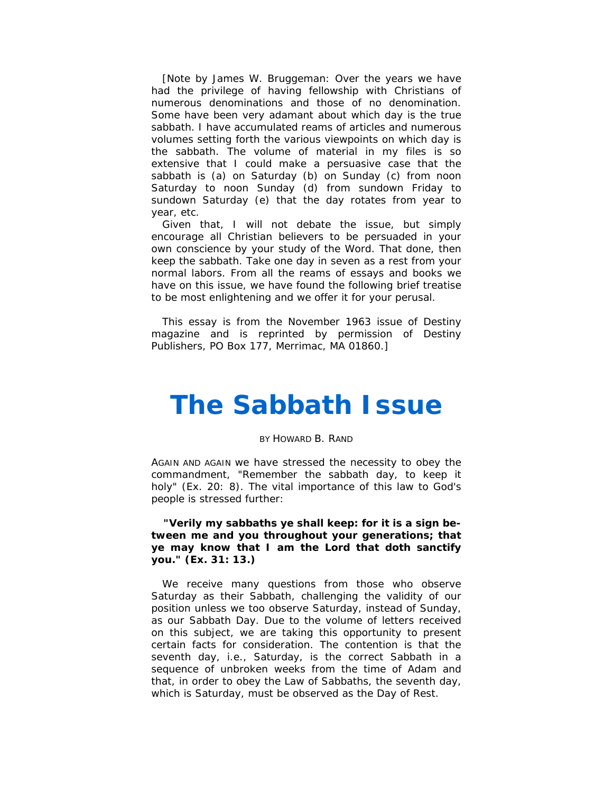[Note by James W. Bruggeman: Over the years we have had the privilege of having fellowship with Christians of numerous denominations and those of no denomination. Some have been very adamant about which day is the true sabbath. I have accumulated reams of articles and numerous volumes setting forth the various viewpoints on which day is the sabbath. The volume of material in my files is so extensive that I could make a persuasive case that the sabbath is (a) on Saturday (b) on Sunday (c) from noon Saturday to noon Sunday (d) from sundown Friday to sundown Saturday (e) that the day rotates from year to year, etc.

Given that, I will not debate the issue, but simply encourage all Christian believers to be persuaded in your own conscience by your study of the Word. That done, then keep the sabbath. Take one day in seven as a rest from your normal labors. From all the reams of essays and books we have on this issue, we have found the following brief treatise to be most enlightening and we offer it for your perusal.

This essay is from the November 1963 issue of Destiny magazine and is reprinted by permission of Destiny Publishers, PO Box 177, Merrimac, MA 01860.]

## *The Sabbath Issue*

## *BY HOWARD B. RAND*

AGAIN AND AGAIN we have stressed the necessity to obey the commandment, "Remember the sabbath day, to keep it holy" (Ex. 20: 8). The vital importance of this law to God's people is stressed further:

## **"Verily my sabbaths ye shall keep: for it is a sign between me and you throughout your generations; that ye may know that I am the Lord that doth sanctify you." (Ex. 31: 13.)**

We receive many questions from those who observe Saturday as their Sabbath, challenging the validity of our position unless we too observe Saturday, instead of Sunday, as our Sabbath Day. Due to the volume of letters received on this subject, we are taking this opportunity to present certain facts for consideration. The contention is that the seventh day, *i.e.,* Saturday, is the correct Sabbath in a sequence of unbroken weeks from the time of Adam and that, in order to obey the Law of Sabbaths, the seventh day, which is Saturday, must be observed as the Day of Rest.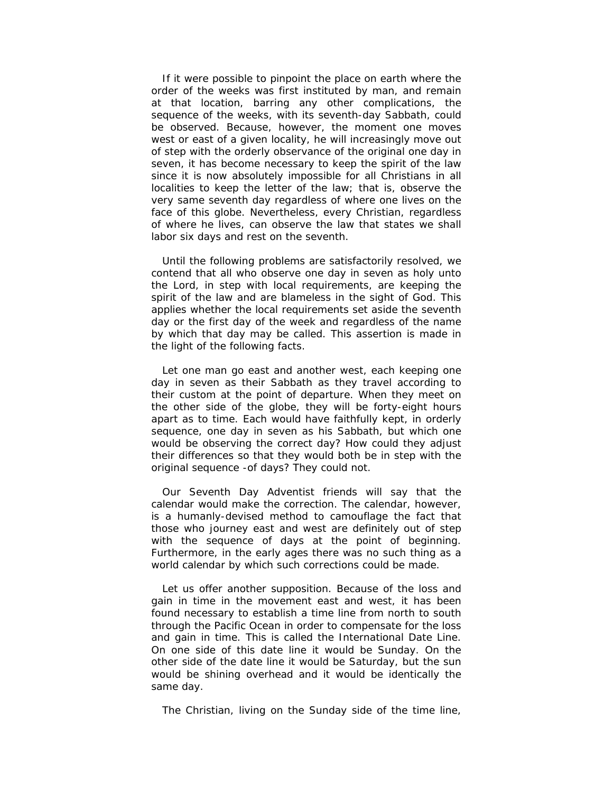If it were possible to pinpoint the place on earth where the order of the weeks was first instituted by man, and remain at that location, barring any other complications, the sequence of the weeks, with its seventh-day Sabbath, could be observed. Because, however, the moment one moves west or east of a given locality, he will increasingly move out of step with the orderly observance of the original one day in seven, it has become necessary to keep the spirit of the law since it is now absolutely impossible for all Christians in all localities to keep the letter of the law; that is, observe the very same seventh day regardless of where one lives on the face of this globe. Nevertheless, every Christian, regardless of where he lives, can observe the law that states we shall labor six days and rest on the seventh.

Until the following problems are satisfactorily resolved, we contend that all who observe one day in seven as holy unto the Lord, in step with local requirements, are keeping the spirit of the law and are blameless in the sight of God. This applies whether the local requirements set aside the seventh day or the first day of the week and regardless of the name by which that day may be called. This assertion is made in the light of the following facts.

Let one man go east and another west, each keeping one day in seven as their Sabbath as they travel according to their custom at the point of departure. When they meet on the other side of the globe, they will be forty-eight hours apart as to time. Each would have faithfully kept, in orderly sequence, one day in seven as his Sabbath, but which one would be observing the correct day? How could they adjust their differences so that they would both be in step with the original sequence -of days? They could not.

Our Seventh Day Adventist friends will say that the calendar would make the correction. The calendar, however, is a humanly-devised method to camouflage the fact that those who journey east and west are definitely out of step with the sequence of days at the point of beginning. Furthermore, in the early ages there was no such thing as a world calendar by which such corrections could be made.

Let us offer another supposition. Because of the loss and gain in time in the movement east and west, it has been found necessary to establish a time line from north to south through the Pacific Ocean in order to compensate for the loss and gain in time. This is called the International Date Line. On one side of this date line it would be Sunday. On the other side of the date line it would be Saturday, but the sun would be shining overhead and it would be identically the same day.

The Christian, living on the Sunday side of the time line,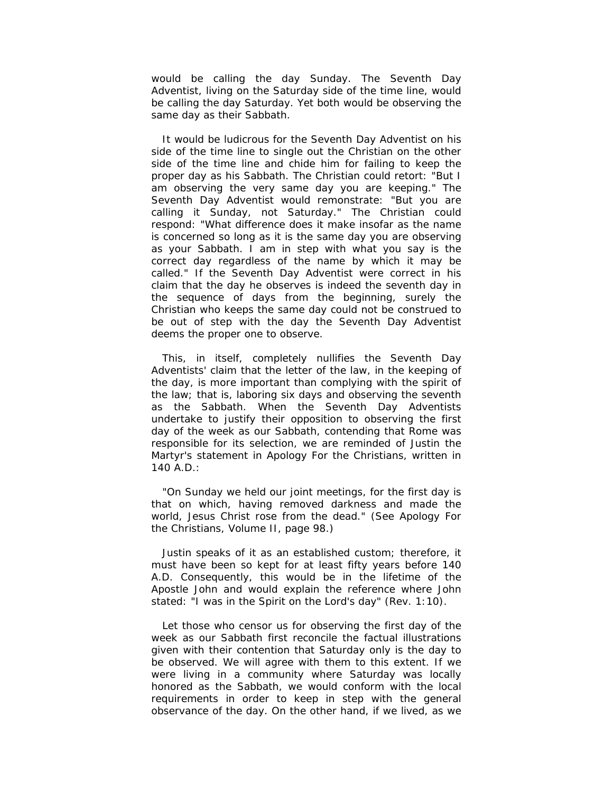would be calling the day Sunday. The Seventh Day Adventist, living on the Saturday side of the time line, would be calling the day Saturday. Yet both would be observing the same day as their Sabbath.

It would be ludicrous for the Seventh Day Adventist on his side of the time line to single out the Christian on the other side of the time line and chide him for failing to keep the proper day as his Sabbath. The Christian could retort: "But I am observing the very same day you are keeping." The Seventh Day Adventist would remonstrate: "But you are calling it Sunday, not Saturday." The Christian could respond: "What difference does it make insofar as the name is concerned so long as it is the same day you are observing as your Sabbath. I am in step with what you say is the correct day regardless of the name by which it may be called." If the Seventh Day Adventist were correct in his claim that the day he observes is indeed the seventh day in the sequence of days from the beginning, surely the Christian who keeps the same day could not be construed to be out of step with the day the Seventh Day Adventist deems the proper one to observe.

This, in itself, completely nullifies the Seventh Day Adventists' claim that the letter of the law, in the keeping of the day, is more important than complying with the spirit of the law; that is, laboring six days and observing the seventh as the Sabbath. When the Seventh Day Adventists undertake to justify their opposition to observing the first day of the week as our Sabbath, contending that Rome was responsible for its selection, we are reminded of Justin the Martyr's statement in *Apology For the Christians,* written in 140 A.D.:

"On Sunday we held our joint meetings, for the first day is that on which, having removed darkness and made the world, Jesus Christ rose from the dead." (See *Apology For the Christians,* Volume II, page 98.)

Justin speaks of it as an established custom; therefore, it must have been so kept for at least fifty years before 140 A.D. Consequently, this would be in the lifetime of the Apostle John and would explain the reference where John stated: "I was in the Spirit on the Lord's day" (Rev. 1:10).

Let those who censor us for observing the first day of the week as our Sabbath first reconcile the factual illustrations given with their contention that Saturday only is the day to be observed. We will agree with them to this extent. If we were living in a community where Saturday was locally honored as the Sabbath, we would conform with the local requirements in order to keep in step with the general observance of the day. On the other hand, if we lived, as we